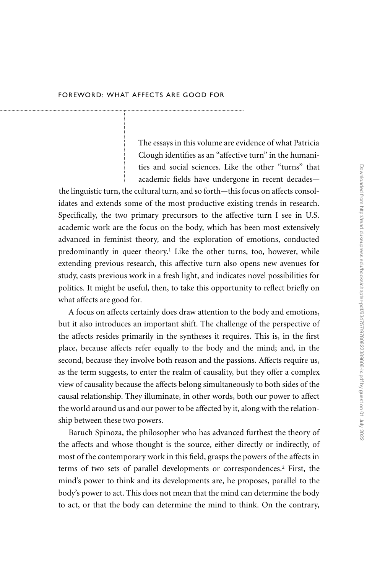## FOREWORD: WHAT AFFECTS ARE GOOD FOR

.........................................................................................................................................................................................

. . .

.

The essays in this volume are evidence of what Patricia Clough identifies as an "affective turn" in the humanities and social sciences. Like the other ''turns'' that academic fields have undergone in recent decades—

the linguistic turn, the cultural turn, and so forth—this focus on affects consolidates and extends some of the most productive existing trends in research. Specifically, the two primary precursors to the affective turn I see in U.S. academic work are the focus on the body, which has been most extensively advanced in feminist theory, and the exploration of emotions, conducted predominantly in queer theory.<sup>1</sup> Like the other turns, too, however, while extending previous research, this affective turn also opens new avenues for study, casts previous work in a fresh light, and indicates novel possibilities for politics. It might be useful, then, to take this opportunity to reflect briefly on what affects are good for.

A focus on affects certainly does draw attention to the body and emotions, but it also introduces an important shift. The challenge of the perspective of the affects resides primarily in the syntheses it requires. This is, in the first place, because affects refer equally to the body and the mind; and, in the second, because they involve both reason and the passions. Affects require us, as the term suggests, to enter the realm of causality, but they offer a complex view of causality because the affects belong simultaneously to both sides of the causal relationship. They illuminate, in other words, both our power to affect the world around us and our power to be affected by it, along with the relationship between these two powers.

Baruch Spinoza, the philosopher who has advanced furthest the theory of the affects and whose thought is the source, either directly or indirectly, of most of the contemporary work in this field, grasps the powers of the affects in terms of two sets of parallel developments or correspondences.<sup>2</sup> First, the mind's power to think and its developments are, he proposes, parallel to the body's power to act. This does not mean that the mind can determine the body to act, or that the body can determine the mind to think. On the contrary,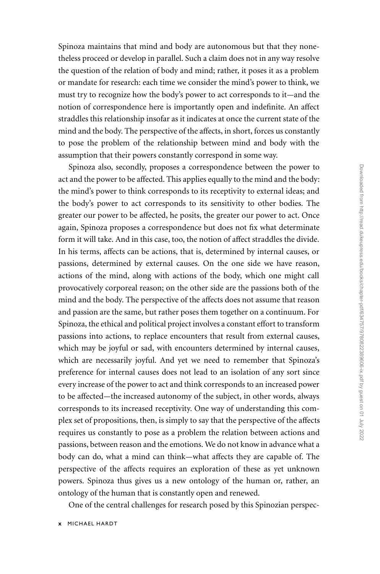Spinoza maintains that mind and body are autonomous but that they nonetheless proceed or develop in parallel. Such a claim does not in any way resolve the question of the relation of body and mind; rather, it poses it as a problem or mandate for research: each time we consider the mind's power to think, we must try to recognize how the body's power to act corresponds to it—and the notion of correspondence here is importantly open and indefinite. An affect straddles this relationship insofar as it indicates at once the current state of the mind and the body. The perspective of the affects, in short, forces us constantly to pose the problem of the relationship between mind and body with the assumption that their powers constantly correspond in some way.

Spinoza also, secondly, proposes a correspondence between the power to act and the power to be affected. This applies equally to the mind and the body: the mind's power to think corresponds to its receptivity to external ideas; and the body's power to act corresponds to its sensitivity to other bodies. The greater our power to be affected, he posits, the greater our power to act. Once again, Spinoza proposes a correspondence but does not fix what determinate form it will take. And in this case, too, the notion of affect straddles the divide. In his terms, affects can be actions, that is, determined by internal causes, or passions, determined by external causes. On the one side we have reason, actions of the mind, along with actions of the body, which one might call provocatively corporeal reason; on the other side are the passions both of the mind and the body. The perspective of the affects does not assume that reason and passion are the same, but rather poses them together on a continuum. For Spinoza, the ethical and political project involves a constant effort to transform passions into actions, to replace encounters that result from external causes, which may be joyful or sad, with encounters determined by internal causes, which are necessarily joyful. And yet we need to remember that Spinoza's preference for internal causes does not lead to an isolation of any sort since every increase of the power to act and think corresponds to an increased power to be affected—the increased autonomy of the subject, in other words, always corresponds to its increased receptivity. One way of understanding this complex set of propositions, then, is simply to say that the perspective of the affects requires us constantly to pose as a problem the relation between actions and passions, between reason and the emotions. We do not know in advance what a body can do, what a mind can think—what affects they are capable of. The perspective of the affects requires an exploration of these as yet unknown powers. Spinoza thus gives us a new ontology of the human or, rather, an ontology of the human that is constantly open and renewed.

One of the central challenges for research posed by this Spinozian perspec-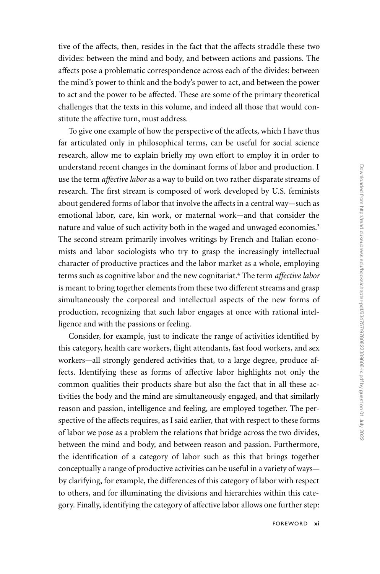tive of the affects, then, resides in the fact that the affects straddle these two divides: between the mind and body, and between actions and passions. The affects pose a problematic correspondence across each of the divides: between the mind's power to think and the body's power to act, and between the power to act and the power to be affected. These are some of the primary theoretical challenges that the texts in this volume, and indeed all those that would constitute the affective turn, must address.

To give one example of how the perspective of the affects, which I have thus far articulated only in philosophical terms, can be useful for social science research, allow me to explain briefly my own effort to employ it in order to understand recent changes in the dominant forms of labor and production. I use the term *affective labor* as a way to build on two rather disparate streams of research. The first stream is composed of work developed by U.S. feminists about gendered forms of labor that involve the affects in a central way—such as emotional labor, care, kin work, or maternal work—and that consider the nature and value of such activity both in the waged and unwaged economies.<sup>3</sup> The second stream primarily involves writings by French and Italian economists and labor sociologists who try to grasp the increasingly intellectual character of productive practices and the labor market as a whole, employing terms such as cognitive labor and the new cognitariat.<sup>4</sup> The term *affective labor* is meant to bring together elements from these two different streams and grasp simultaneously the corporeal and intellectual aspects of the new forms of production, recognizing that such labor engages at once with rational intelligence and with the passions or feeling.

Consider, for example, just to indicate the range of activities identified by this category, health care workers, flight attendants, fast food workers, and sex workers—all strongly gendered activities that, to a large degree, produce affects. Identifying these as forms of affective labor highlights not only the common qualities their products share but also the fact that in all these activities the body and the mind are simultaneously engaged, and that similarly reason and passion, intelligence and feeling, are employed together. The perspective of the affects requires, as I said earlier, that with respect to these forms of labor we pose as a problem the relations that bridge across the two divides, between the mind and body, and between reason and passion. Furthermore, the identification of a category of labor such as this that brings together conceptually a range of productive activities can be useful in a variety of ways by clarifying, for example, the differences of this category of labor with respect to others, and for illuminating the divisions and hierarchies within this category. Finally, identifying the category of affective labor allows one further step: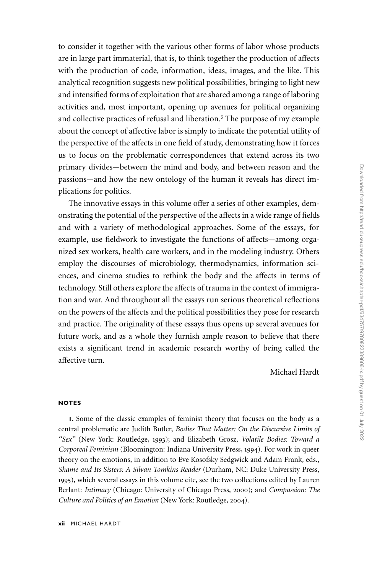to consider it together with the various other forms of labor whose products are in large part immaterial, that is, to think together the production of affects with the production of code, information, ideas, images, and the like. This analytical recognition suggests new political possibilities, bringing to light new and intensified forms of exploitation that are shared among a range of laboring activities and, most important, opening up avenues for political organizing and collective practices of refusal and liberation.<sup>5</sup> The purpose of my example about the concept of affective labor is simply to indicate the potential utility of the perspective of the affects in one field of study, demonstrating how it forces us to focus on the problematic correspondences that extend across its two primary divides—between the mind and body, and between reason and the passions—and how the new ontology of the human it reveals has direct implications for politics.

The innovative essays in this volume offer a series of other examples, demonstrating the potential of the perspective of the affects in a wide range of fields and with a variety of methodological approaches. Some of the essays, for example, use fieldwork to investigate the functions of affects—among organized sex workers, health care workers, and in the modeling industry. Others employ the discourses of microbiology, thermodynamics, information sciences, and cinema studies to rethink the body and the affects in terms of technology. Still others explore the affects of trauma in the context of immigration and war. And throughout all the essays run serious theoretical reflections on the powers of the affects and the political possibilities they pose for research and practice. The originality of these essays thus opens up several avenues for future work, and as a whole they furnish ample reason to believe that there exists a significant trend in academic research worthy of being called the affective turn

Michael Hardt

## **NOTES**

**1.** Some of the classic examples of feminist theory that focuses on the body as a central problematic are Judith Butler, *Bodies That Matter: On the Discursive Limits of ''Sex''* (New York: Routledge, 1993); and Elizabeth Grosz, *Volatile Bodies: Toward a Corporeal Feminism* (Bloomington: Indiana University Press, 1994). For work in queer theory on the emotions, in addition to Eve Kosofsky Sedgwick and Adam Frank, eds., *Shame and Its Sisters: A Silvan Tomkins Reader* (Durham, NC: Duke University Press, 1995), which several essays in this volume cite, see the two collections edited by Lauren Berlant: *Intimacy* (Chicago: University of Chicago Press, 2000); and *Compassion: The Culture and Politics of an Emotion* (New York: Routledge, 2004).